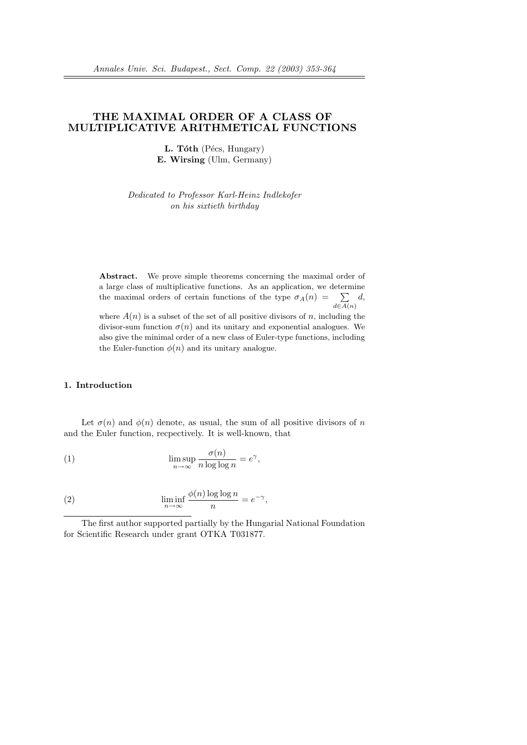# THE MAXIMAL ORDER OF A CLASS OF MULTIPLICATIVE ARITHMETICAL FUNCTIONS

 $L.$  Tóth (Pécs, Hungary) E. Wirsing (Ulm, Germany)

Dedicated to Professor Karl-Heinz Indlekofer on his sixtieth birthday

Abstract. We prove simple theorems concerning the maximal order of a large class of multiplicative functions. As an application, we determine the maximal orders of certain functions. As an application, we determine the maximal orders of certain functions of the type  $\sigma_A(n) = \sum_{d \in A(n)}$ d, where  $A(n)$  is a subset of the set of all positive divisors of n, including the

divisor-sum function  $\sigma(n)$  and its unitary and exponential analogues. We also give the minimal order of a new class of Euler-type functions, including the Euler-function  $\phi(n)$  and its unitary analogue.

#### 1. Introduction

Let  $\sigma(n)$  and  $\phi(n)$  denote, as usual, the sum of all positive divisors of n and the Euler function, recpectively. It is well-known, that

(1) 
$$
\limsup_{n \to \infty} \frac{\sigma(n)}{n \log \log n} = e^{\gamma},
$$

(2) 
$$
\liminf_{n \to \infty} \frac{\phi(n) \log \log n}{n} = e^{-\gamma},
$$

The first author supported partially by the Hungarial National Foundation for Scientific Research under grant OTKA T031877.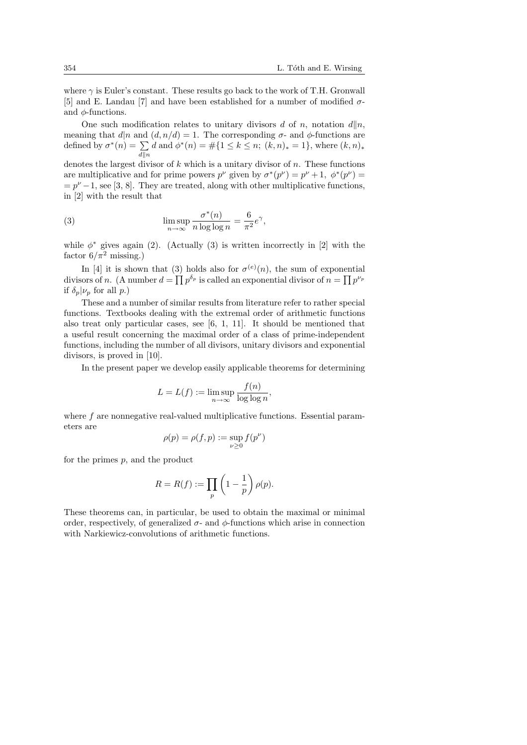where  $\gamma$  is Euler's constant. These results go back to the work of T.H. Gronwall [5] and E. Landau [7] and have been established for a number of modified  $\sigma$ and  $\phi$ -functions.

One such modification relates to unitary divisors d of n, notation  $d||n$ , meaning that  $d|n$  and  $(d, n/d) = 1$ . The corresponding  $\sigma$ - and  $\phi$ -functions are meaning that  $a|n$  and<br>defined by  $\sigma^*(n) = \sum$  $d\|n$ d and  $\phi^*(n) = \#\{1 \leq k \leq n; (k,n)_* = 1\}$ , where  $(k,n)_*$ denotes the largest divisor of k which is a unitary divisor of n. These functions

are multiplicative and for prime powers  $p^{\nu}$  given by  $\sigma^*(p^{\nu}) = p^{\nu} + 1$ ,  $\phi^*(p^{\nu}) =$  $p^{\nu}-1$ , see [3, 8]. They are treated, along with other multiplicative functions, in [2] with the result that

(3) 
$$
\limsup_{n \to \infty} \frac{\sigma^*(n)}{n \log \log n} = \frac{6}{\pi^2} e^{\gamma},
$$

while  $\phi^*$  gives again (2). (Actually (3) is written incorrectly in [2] with the factor  $6/\pi^2$  missing.)

In [4] it is shown that (3) holds also for  $\sigma^{(e)}(n)$ , the sum of exponential divisors of n. (A number  $d = \prod p^{\delta_p}$  is called an exponential divisor of  $n = \prod p^{\nu_p}$ if  $\delta_p|\nu_p$  for all p.)

These and a number of similar results from literature refer to rather special functions. Textbooks dealing with the extremal order of arithmetic functions also treat only particular cases, see [6, 1, 11]. It should be mentioned that a useful result concerning the maximal order of a class of prime-independent functions, including the number of all divisors, unitary divisors and exponential divisors, is proved in [10].

In the present paper we develop easily applicable theorems for determining

$$
L = L(f) := \limsup_{n \to \infty} \frac{f(n)}{\log \log n},
$$

where f are nonnegative real-valued multiplicative functions. Essential parameters are

$$
\rho(p)=\rho(f,p):=\sup_{\nu\geq 0}f(p^\nu)
$$

for the primes  $p$ , and the product

$$
R = R(f) := \prod_{p} \left(1 - \frac{1}{p}\right) \rho(p).
$$

These theorems can, in particular, be used to obtain the maximal or minimal order, respectively, of generalized  $\sigma$ - and  $\phi$ -functions which arise in connection with Narkiewicz-convolutions of arithmetic functions.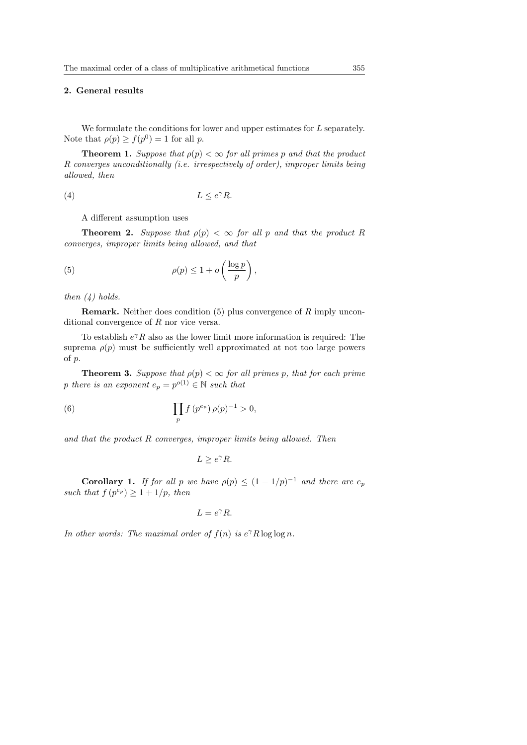## 2. General results

We formulate the conditions for lower and upper estimates for L separately. Note that  $\rho(p) \ge f(p^0) = 1$  for all p.

**Theorem 1.** Suppose that  $\rho(p) < \infty$  for all primes p and that the product R converges unconditionally (i.e. irrespectively of order), improper limits being allowed, then

$$
(4) \tL \le e^{\gamma} R.
$$

A different assumption uses

**Theorem 2.** Suppose that  $\rho(p) < \infty$  for all p and that the product R converges, improper limits being allowed, and that

(5) 
$$
\rho(p) \leq 1 + o\left(\frac{\log p}{p}\right),\,
$$

then  $(4)$  holds.

**Remark.** Neither does condition  $(5)$  plus convergence of R imply unconditional convergence of R nor vice versa.

To establish  $e^{\gamma}R$  also as the lower limit more information is required: The suprema  $\rho(p)$  must be sufficiently well approximated at not too large powers of p.

**Theorem 3.** Suppose that  $\rho(p) < \infty$  for all primes p, that for each prime p there is an exponent  $e_p = p^{o(1)} \in \mathbb{N}$  such that

(6) 
$$
\prod_{p} f(p^{e_p}) \rho(p)^{-1} > 0,
$$

and that the product R converges, improper limits being allowed. Then

$$
L \ge e^{\gamma} R.
$$

**Corollary 1.** If for all p we have  $\rho(p) \leq (1 - 1/p)^{-1}$  and there are  $e_p$ such that  $f(p^{e_p}) \geq 1 + 1/p$ , then

$$
L=e^{\gamma}R.
$$

In other words: The maximal order of  $f(n)$  is  $e^{\gamma}R \log \log n$ .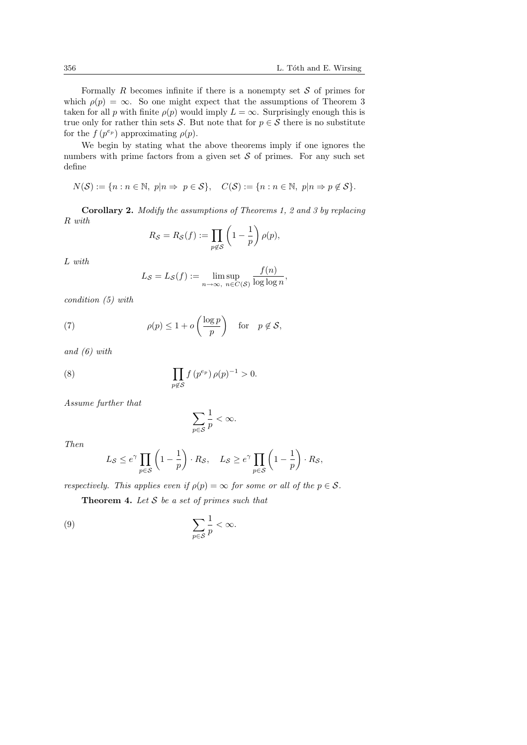Formally R becomes infinite if there is a nonempty set  $S$  of primes for which  $\rho(p) = \infty$ . So one might expect that the assumptions of Theorem 3 taken for all p with finite  $\rho(p)$  would imply  $L = \infty$ . Surprisingly enough this is true only for rather thin sets S. But note that for  $p \in S$  there is no substitute for the  $f(p^{e_p})$  approximating  $\rho(p)$ .

We begin by stating what the above theorems imply if one ignores the numbers with prime factors from a given set  $S$  of primes. For any such set define

$$
N(S) := \{ n : n \in \mathbb{N}, \ p | n \Rightarrow p \in S \}, \quad C(S) := \{ n : n \in \mathbb{N}, \ p | n \Rightarrow p \notin S \}.
$$

Corollary 2. Modify the assumptions of Theorems 1, 2 and 3 by replacing R with  $\overline{a}$  $\mathbf{r}$ 

$$
R_{\mathcal{S}} = R_{\mathcal{S}}(f) := \prod_{p \notin \mathcal{S}} \left(1 - \frac{1}{p}\right) \rho(p),
$$

L with

$$
L_{\mathcal{S}} = L_{\mathcal{S}}(f) := \limsup_{n \to \infty, n \in C(\mathcal{S})} \frac{f(n)}{\log \log n},
$$

condition (5) with

(7) 
$$
\rho(p) \le 1 + o\left(\frac{\log p}{p}\right) \quad \text{for} \quad p \notin \mathcal{S},
$$

and (6) with

(8) 
$$
\prod_{p \notin S} f(p^{e_p}) \rho(p)^{-1} > 0.
$$

Assume further that

$$
\sum_{p\in\mathcal{S}}\frac{1}{p}<\infty.
$$

Then

$$
L_{\mathcal{S}} \le e^{\gamma} \prod_{p \in \mathcal{S}} \left( 1 - \frac{1}{p} \right) \cdot R_{\mathcal{S}}, \quad L_{\mathcal{S}} \ge e^{\gamma} \prod_{p \in \mathcal{S}} \left( 1 - \frac{1}{p} \right) \cdot R_{\mathcal{S}},
$$

respectively. This applies even if  $\rho(p) = \infty$  for some or all of the  $p \in S$ .

**Theorem 4.** Let  $S$  be a set of primes such that

(9) 
$$
\sum_{p\in\mathcal{S}}\frac{1}{p}<\infty.
$$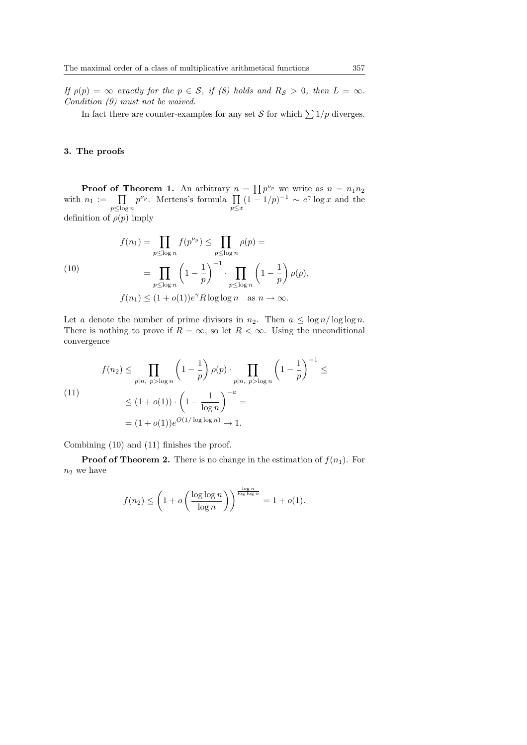If  $\rho(p) = \infty$  exactly for the  $p \in S$ , if (8) holds and  $R_S > 0$ , then  $L = \infty$ . Condition (9) must not be waived.

In fact there are counter-examples for any set S for which  $\sum 1/p$  diverges.

#### 3. The proofs

**Proof of Theorem 1.** An arbitrary  $n = \prod p^{\nu_p}$  we write as  $n = n_1 n_2$ **Proof of Theorem 1.** An aboutaly  $n = \prod p^{\nu}$  we write as  $n = n_1 n_2$ <br>with  $n_1 := \prod p^{\nu_p}$ . Mertens's formula  $\prod (1 - 1/p)^{-1} \sim e^{\gamma} \log x$  and the  $p\leq \log n$  $p \leq x$ definition of  $\rho(p)$  imply

(10)  

$$
f(n_1) = \prod_{p \le \log n} f(p^{\nu_p}) \le \prod_{p \le \log n} \rho(p) =
$$

$$
= \prod_{p \le \log n} \left(1 - \frac{1}{p}\right)^{-1} \cdot \prod_{p \le \log n} \left(1 - \frac{1}{p}\right) \rho(p),
$$

$$
f(n_1) \le (1 + o(1))e^{\gamma} R \log \log n \quad \text{as } n \to \infty.
$$

Let a denote the number of prime divisors in  $n_2$ . Then  $a \leq \log n / \log \log n$ . There is nothing to prove if  $R = \infty$ , so let  $R < \infty$ . Using the unconditional convergence

(11)  

$$
f(n_2) \le \prod_{p|n, \ p > \log n} \left(1 - \frac{1}{p}\right) \rho(p) \cdot \prod_{p|n, \ p > \log n} \left(1 - \frac{1}{p}\right)^{-1} \le
$$

$$
\le (1 + o(1)) \cdot \left(1 - \frac{1}{\log n}\right)^{-a} =
$$

$$
= (1 + o(1))e^{O(1/\log \log n)} \to 1.
$$

Combining (10) and (11) finishes the proof.

**Proof of Theorem 2.** There is no change in the estimation of  $f(n_1)$ . For  $n_2$  we have

$$
f(n_2) \le \left(1 + o\left(\frac{\log \log n}{\log n}\right)\right)^{\frac{\log n}{\log \log n}} = 1 + o(1).
$$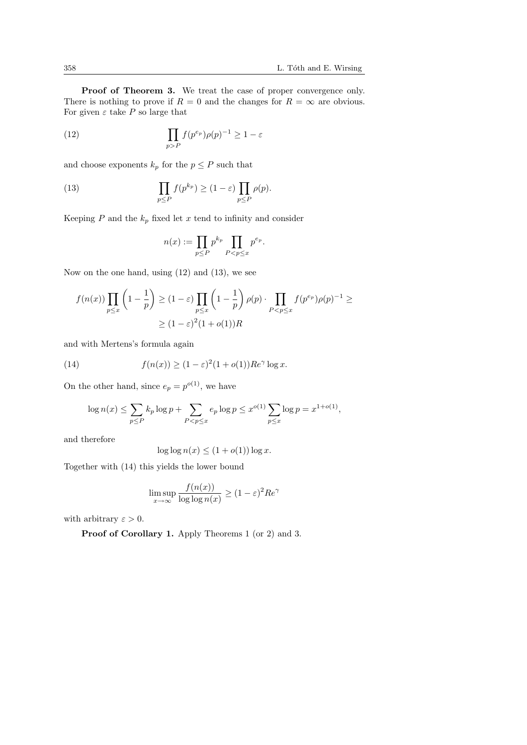Proof of Theorem 3. We treat the case of proper convergence only. There is nothing to prove if  $R = 0$  and the changes for  $R = \infty$  are obvious. For given  $\varepsilon$  take P so large that

(12) 
$$
\prod_{p>P} f(p^{e_p}) \rho(p)^{-1} \geq 1 - \varepsilon
$$

and choose exponents  $k_p$  for the  $p \leq P$  such that

(13) 
$$
\prod_{p \leq P} f(p^{k_p}) \geq (1 - \varepsilon) \prod_{p \leq P} \rho(p).
$$

Keeping  $P$  and the  $k_p$  fixed let  $x$  tend to infinity and consider

$$
n(x) := \prod_{p \le P} p^{k_p} \prod_{P < p \le x} p^{e_p}.
$$

Now on the one hand, using (12) and (13), we see

$$
f(n(x)) \prod_{p \le x} \left(1 - \frac{1}{p}\right) \ge (1 - \varepsilon) \prod_{p \le x} \left(1 - \frac{1}{p}\right) \rho(p) \cdot \prod_{P < p \le x} f(p^{e_p}) \rho(p)^{-1} \ge
$$
\n
$$
\ge (1 - \varepsilon)^2 (1 + o(1)) R
$$

and with Mertens's formula again

(14) 
$$
f(n(x)) \ge (1 - \varepsilon)^2 (1 + o(1)) Re^{\gamma} \log x.
$$

On the other hand, since  $e_p = p^{o(1)}$ , we have

$$
\log n(x) \le \sum_{p \le P} k_p \log p + \sum_{P < p \le x} e_p \log p \le x^{o(1)} \sum_{p \le x} \log p = x^{1+o(1)},
$$

and therefore

$$
\log \log n(x) \le (1 + o(1)) \log x.
$$

Together with (14) this yields the lower bound

$$
\limsup_{x \to \infty} \frac{f(n(x))}{\log \log n(x)} \ge (1 - \varepsilon)^2 Re^{\gamma}
$$

with arbitrary  $\varepsilon > 0$ .

Proof of Corollary 1. Apply Theorems 1 (or 2) and 3.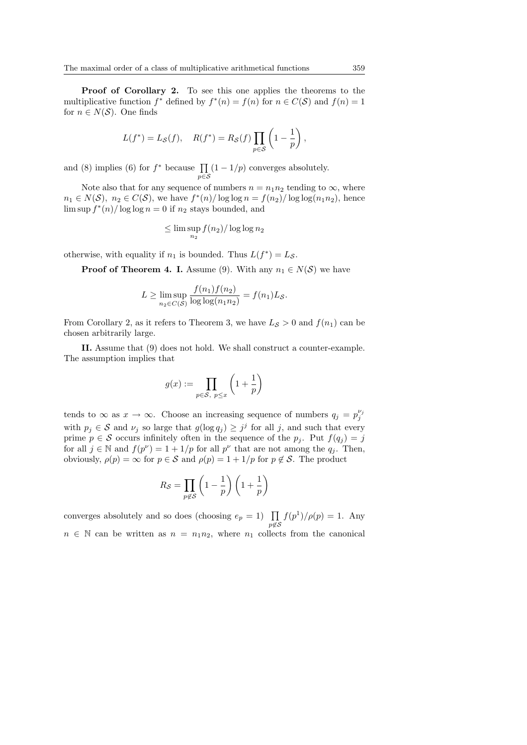Proof of Corollary 2. To see this one applies the theorems to the multiplicative function  $f^*$  defined by  $f^*(n) = f(n)$  for  $n \in C(S)$  and  $f(n) = 1$ for  $n \in N(\mathcal{S})$ . One finds

$$
L(f^*) = L_{\mathcal{S}}(f), \quad R(f^*) = R_{\mathcal{S}}(f) \prod_{p \in \mathcal{S}} \left(1 - \frac{1}{p}\right),
$$

and (8) implies (6) for  $f^*$  because  $\prod_{i=1}^{n} (1 - 1/p)$  converges absolutely. p∈S

Note also that for any sequence of numbers  $n = n_1 n_2$  tending to  $\infty$ , where  $n_1 \in N(S)$ ,  $n_2 \in C(S)$ , we have  $f^*(n)/\log \log n = f(n_2)/\log \log (n_1 n_2)$ , hence  $\limsup f^{*}(n)/\log \log n = 0$  if  $n_2$  stays bounded, and

$$
\leq \lim\sup_{n_2} f(n_2) / \log \log n_2
$$

otherwise, with equality if  $n_1$  is bounded. Thus  $L(f^*) = L_{\mathcal{S}}$ .

**Proof of Theorem 4. I.** Assume (9). With any  $n_1 \in N(\mathcal{S})$  we have

$$
L \ge \limsup_{n_2 \in C(S)} \frac{f(n_1)f(n_2)}{\log \log (n_1 n_2)} = f(n_1)L_{\mathcal{S}}.
$$

From Corollary 2, as it refers to Theorem 3, we have  $L<sub>S</sub> > 0$  and  $f(n_1)$  can be chosen arbitrarily large.

II. Assume that (9) does not hold. We shall construct a counter-example. The assumption implies that

$$
g(x):=\prod_{p\in\mathcal{S},\ p\leq x}\left(1+\frac{1}{p}\right)
$$

tends to  $\infty$  as  $x \to \infty$ . Choose an increasing sequence of numbers  $q_j = p_j^{\nu_j}$ with  $p_j \in \mathcal{S}$  and  $\nu_j$  so large that  $g(\log q_j) \geq j^j$  for all j, and such that every prime  $p \in \mathcal{S}$  occurs infinitely often in the sequence of the  $p_i$ . Put  $f(q_i) = j$ for all  $j \in \mathbb{N}$  and  $f(p^{\nu}) = 1 + 1/p$  for all  $p^{\nu}$  that are not among the  $q_j$ . Then, obviously,  $\rho(p) = \infty$  for  $p \in S$  and  $\rho(p) = 1 + 1/p$  for  $p \notin S$ . The product

$$
R_{\mathcal{S}} = \prod_{p \notin \mathcal{S}} \left( 1 - \frac{1}{p} \right) \left( 1 + \frac{1}{p} \right)
$$

converges absolutely and so does (choosing  $e_p = 1$ )  $\prod_{p \notin S}$  $f(p^1)/\rho(p) = 1$ . Any  $n \in \mathbb{N}$  can be written as  $n = n_1 n_2$ , where  $n_1$  collects from the canonical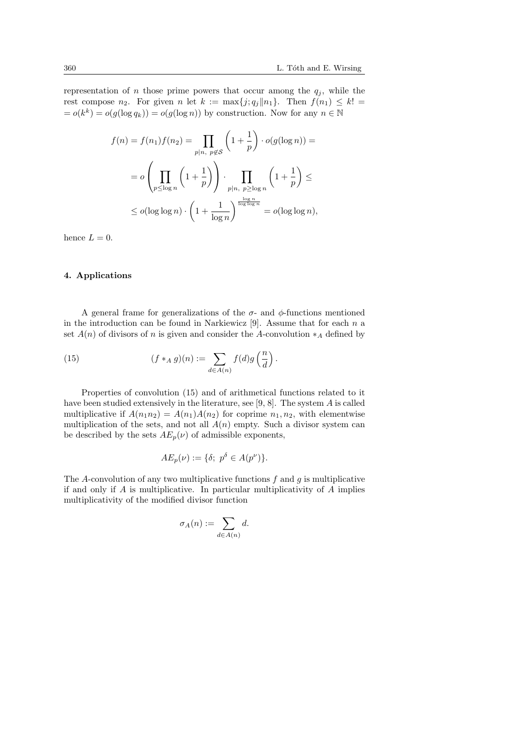representation of *n* those prime powers that occur among the  $q_i$ , while the rest compose  $n_2$ . For given n let  $k := \max\{j; q_j || n_1\}$ . Then  $f(n_1) \leq k!$  $= o(k^k) = o(g(\log q_k)) = o(g(\log n))$  by construction. Now for any  $n \in \mathbb{N}$ 

$$
f(n) = f(n_1)f(n_2) = \prod_{p|n, p \notin S} \left(1 + \frac{1}{p}\right) \cdot o(g(\log n)) =
$$
  

$$
= o\left(\prod_{p \le \log n} \left(1 + \frac{1}{p}\right)\right) \cdot \prod_{p|n, p \ge \log n} \left(1 + \frac{1}{p}\right) \le
$$
  

$$
\le o(\log \log n) \cdot \left(1 + \frac{1}{\log n}\right)^{\frac{\log n}{\log \log n}} = o(\log \log n),
$$

hence  $L = 0$ .

# 4. Applications

A general frame for generalizations of the  $\sigma$ - and  $\phi$ -functions mentioned in the introduction can be found in Narkiewicz [9]. Assume that for each  $n$  a set  $A(n)$  of divisors of n is given and consider the A-convolution  $*_A$  defined by

(15) 
$$
(f *_{A} g)(n) := \sum_{d \in A(n)} f(d)g\left(\frac{n}{d}\right).
$$

Properties of convolution (15) and of arithmetical functions related to it have been studied extensively in the literature, see [9, 8]. The system  $\vec{A}$  is called multiplicative if  $A(n_1n_2) = A(n_1)A(n_2)$  for coprime  $n_1, n_2$ , with elementwise multiplication of the sets, and not all  $A(n)$  empty. Such a divisor system can be described by the sets  $AE_p(\nu)$  of admissible exponents,

$$
AE_p(\nu) := \{\delta; \ p^{\delta} \in A(p^{\nu})\}.
$$

The A-convolution of any two multiplicative functions  $f$  and  $q$  is multiplicative if and only if  $A$  is multiplicative. In particular multiplicativity of  $A$  implies multiplicativity of the modified divisor function

$$
\sigma_A(n) := \sum_{d \in A(n)} d.
$$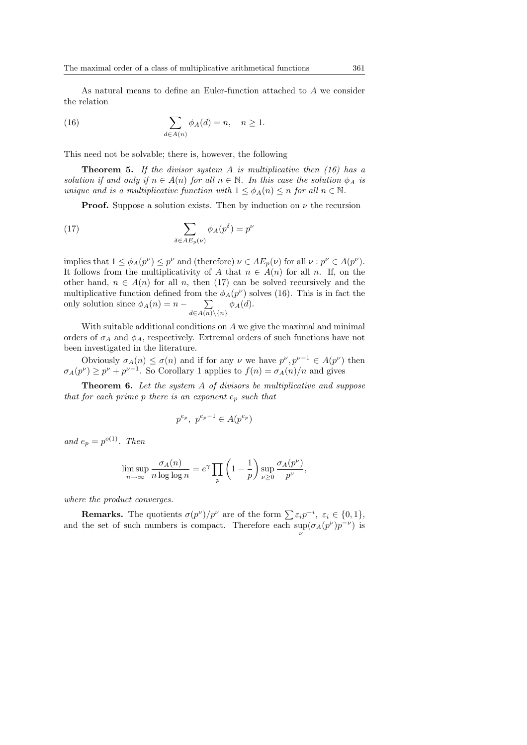As natural means to define an Euler-function attached to A we consider the relation

(16) 
$$
\sum_{d \in A(n)} \phi_A(d) = n, \quad n \ge 1.
$$

This need not be solvable; there is, however, the following

**Theorem 5.** If the divisor system A is multiplicative then  $(16)$  has a solution if and only if  $n \in A(n)$  for all  $n \in \mathbb{N}$ . In this case the solution  $\phi_A$  is unique and is a multiplicative function with  $1 \leq \phi_A(n) \leq n$  for all  $n \in \mathbb{N}$ .

**Proof.** Suppose a solution exists. Then by induction on  $\nu$  the recursion

(17) 
$$
\sum_{\delta \in AE_p(\nu)} \phi_A(p^{\delta}) = p^{\nu}
$$

implies that  $1 \le \phi_A(p^{\nu}) \le p^{\nu}$  and (therefore)  $\nu \in AE_p(\nu)$  for all  $\nu : p^{\nu} \in A(p^{\nu})$ . It follows from the multiplicativity of A that  $n \in A(n)$  for all n. If, on the other hand,  $n \in A(n)$  for all n, then (17) can be solved recursively and the multiplicative function defined from the  $\phi_A(p^\nu)$  solves (16). This is in fact the only solution since  $\phi_A(n) = n - \sum_{d \in A(n) \setminus \{n\}} \phi_A(d)$ .

With suitable additional conditions on A we give the maximal and minimal orders of  $\sigma_A$  and  $\phi_A$ , respectively. Extremal orders of such functions have not been investigated in the literature.

Obviously  $\sigma_A(n) \leq \sigma(n)$  and if for any  $\nu$  we have  $p^{\nu}, p^{\nu-1} \in A(p^{\nu})$  then  $\sigma_A(p^{\nu}) \geq p^{\nu} + p^{\nu-1}$ . So Corollary 1 applies to  $f(n) = \sigma_A(n)/n$  and gives

**Theorem 6.** Let the system A of divisors be multiplicative and suppose that for each prime p there is an exponent  $e_p$  such that

$$
p^{e_p}, \ p^{e_p-1} \in A(p^{e_p})
$$

and  $e_p = p^{o(1)}$ . Then

$$
\limsup_{n \to \infty} \frac{\sigma_A(n)}{n \log \log n} = e^{\gamma} \prod_p \left(1 - \frac{1}{p}\right) \sup_{\nu \ge 0} \frac{\sigma_A(p^{\nu})}{p^{\nu}},
$$

where the product converges.

**Remarks.** The quotients  $\sigma(p^{\nu})/p^{\nu}$  are of the form  $\sum \varepsilon_i p^{-i}$ ,  $\varepsilon_i \in \{0, 1\}$ , and the set of such numbers is compact. Therefore each  $\sup_{\nu}(\sigma_A(p^{\nu})p^{-\nu})$  is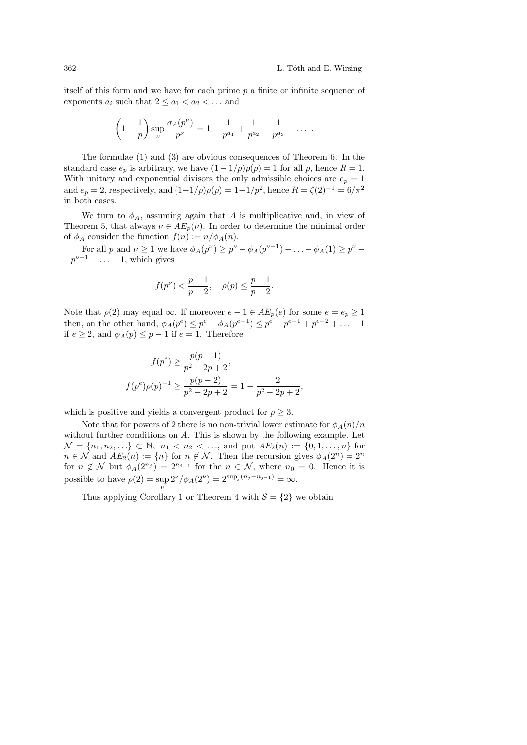itself of this form and we have for each prime  $p$  a finite or infinite sequence of exponents  $a_i$  such that  $2 \le a_1 < a_2 < \dots$  and

$$
\left(1 - \frac{1}{p}\right) \sup_{\nu} \frac{\sigma_A(p^{\nu})}{p^{\nu}} = 1 - \frac{1}{p^{a_1}} + \frac{1}{p^{a_2}} - \frac{1}{p^{a_3}} + \dots
$$

The formulae (1) and (3) are obvious consequences of Theorem 6. In the standard case  $e_p$  is arbitrary, we have  $(1 - 1/p)\rho(p) = 1$  for all p, hence  $R = 1$ . With unitary and exponential divisors the only admissible choices are  $e_p = 1$ and  $e_p = 2$ , respectively, and  $(1 - 1/p)\rho(p) = 1 - 1/p^2$ , hence  $R = \zeta(2)^{-1} = 6/\pi^2$ in both cases.

We turn to  $\phi_A$ , assuming again that A is multiplicative and, in view of Theorem 5, that always  $\nu \in AE_n(\nu)$ . In order to determine the minimal order of  $\phi_A$  consider the function  $f(n) := n/\phi_A(n)$ .

For all p and  $\nu \ge 1$  we have  $\phi_A(p^{\nu}) \ge p^{\nu} - \phi_A(p^{\nu-1}) - \ldots - \phi_A(1) \ge p^{\nu} -p^{\nu-1}$  – ... – 1, which gives

$$
f(p^{\nu})<\frac{p-1}{p-2},\quad \rho(p)\leq\frac{p-1}{p-2}.
$$

Note that  $\rho(2)$  may equal  $\infty$ . If moreover  $e - 1 \in AE_p(e)$  for some  $e = e_p \ge 1$ then, on the other hand,  $\phi_A(p^e) \leq p^e - \phi_A(p^{e-1}) \leq p^e - p^{e-1} + p^{e-2} + ... + 1$ if  $e \geq 2$ , and  $\phi_A(p) \leq p-1$  if  $e=1$ . Therefore

$$
f(p^e) \ge \frac{p(p-1)}{p^2 - 2p + 2},
$$
  

$$
f(p^e)\rho(p)^{-1} \ge \frac{p(p-2)}{p^2 - 2p + 2} = 1 - \frac{2}{p^2 - 2p + 2},
$$

which is positive and yields a convergent product for  $p \geq 3$ .

Note that for powers of 2 there is no non-trivial lower estimate for  $\phi_A(n)/n$ without further conditions on  $A$ . This is shown by the following example. Let  $\mathcal{N} = \{n_1, n_2, ...\} \subset \mathbb{N}, n_1 < n_2 < \ldots$ , and put  $AE_2(n) := \{0, 1, ..., n\}$  for  $n \in \mathcal{N}$  and  $AE_2(n) := \{n\}$  for  $n \notin \mathcal{N}$ . Then the recursion gives  $\phi_A(2^n) = 2^n$ for  $n \notin \mathcal{N}$  but  $\phi_A(2^{n_j}) = 2^{n_{j-1}}$  for the  $n \in \mathcal{N}$ , where  $n_0 = 0$ . Hence it is possible to have  $\rho(2) = \sup_{\nu} 2^{\nu} / \phi_A(2^{\nu}) = 2^{\sup_j (n_j - n_{j-1})} = \infty.$ 

Thus applying Corollary 1 or Theorem 4 with  $S = \{2\}$  we obtain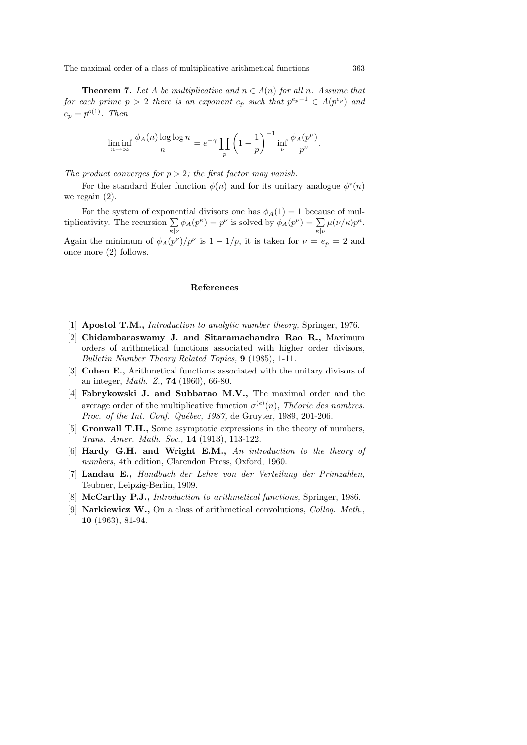**Theorem 7.** Let A be multiplicative and  $n \in A(n)$  for all n. Assume that for each prime  $p > 2$  there is an exponent  $e_p$  such that  $p^{e_p - 1} \in A(p^{e_p})$  and  $e_p = p^{o(1)}$ . Then

$$
\liminf_{n \to \infty} \frac{\phi_A(n) \log \log n}{n} = e^{-\gamma} \prod_p \left(1 - \frac{1}{p}\right)^{-1} \inf_{\nu} \frac{\phi_A(p^{\nu})}{p^{\nu}}.
$$

The product converges for  $p > 2$ ; the first factor may vanish.

For the standard Euler function  $\phi(n)$  and for its unitary analogue  $\phi^*(n)$ we regain (2).

For the system of exponential divisors one has  $\phi_A(1) = 1$  because of mul-For the system of exponentiplicativity. The recursion  $\Sigma$ mentiar divisors one has  $\varphi_A(1) = 1$  because  $\sum_{k|\nu} \phi_A(p^k) = p^{\nu}$  is solved by  $\phi_A(p^{\nu}) = \sum_{k|\nu}$ κ|ν  $\mu(\nu/\kappa)p^{\kappa}.$ Again the minimum of  $\phi_A(p^\nu)/p^\nu$  is  $1-1/p$ , it is taken for  $\nu = e_p = 2$  and once more (2) follows.

## References

- [1] Apostol T.M., Introduction to analytic number theory, Springer, 1976.
- [2] Chidambaraswamy J. and Sitaramachandra Rao R., Maximum orders of arithmetical functions associated with higher order divisors, Bulletin Number Theory Related Topics, 9 (1985), 1-11.
- [3] Cohen E., Arithmetical functions associated with the unitary divisors of an integer, Math. Z., 74 (1960), 66-80.
- [4] Fabrykowski J. and Subbarao M.V., The maximal order and the average order of the multiplicative function  $\sigma^{(e)}(n)$ , Théorie des nombres. Proc. of the Int. Conf. Québec, 1987, de Gruyter, 1989, 201-206.
- [5] Gronwall T.H., Some asymptotic expressions in the theory of numbers, Trans. Amer. Math. Soc., 14 (1913), 113-122.
- [6] Hardy G.H. and Wright E.M., An introduction to the theory of numbers, 4th edition, Clarendon Press, Oxford, 1960.
- [7] Landau E., Handbuch der Lehre von der Verteilung der Primzahlen, Teubner, Leipzig-Berlin, 1909.
- [8] **McCarthy P.J.,** *Introduction to arithmetical functions*, Springer, 1986.
- [9] **Narkiewicz W.,** On a class of arithmetical convolutions, *Collog. Math.*, 10 (1963), 81-94.